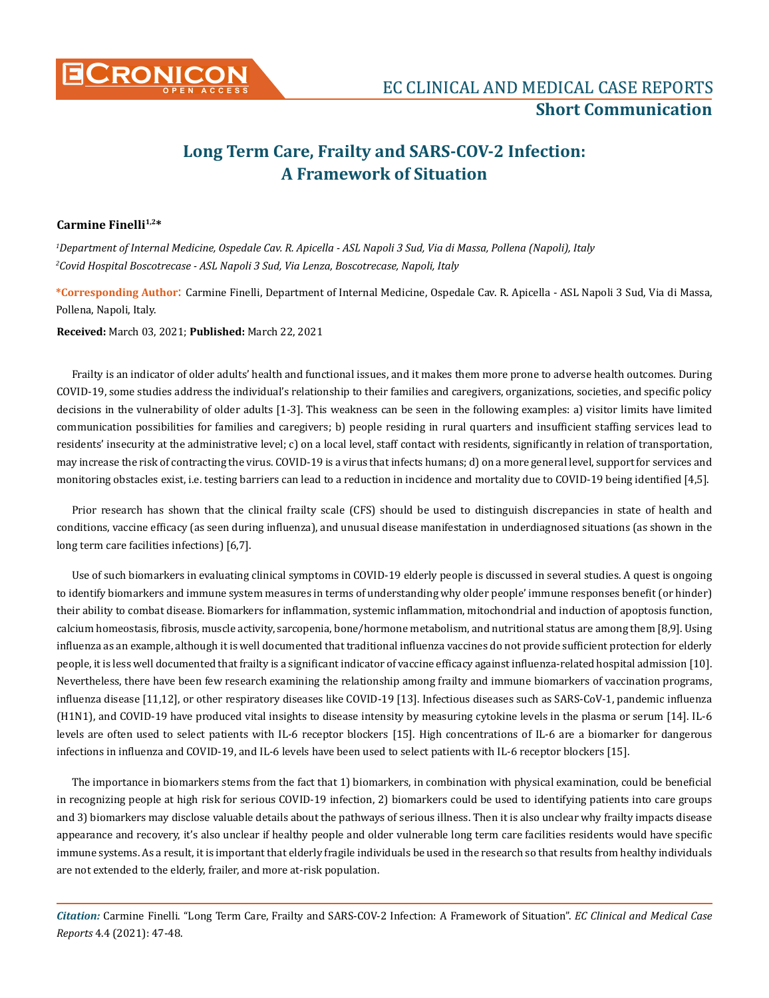

# **Long Term Care, Frailty and SARS-COV-2 Infection: A Framework of Situation**

## **Carmine Finelli1,2\***

*1 Department of Internal Medicine, Ospedale Cav. R. Apicella - ASL Napoli 3 Sud, Via di Massa, Pollena (Napoli), Italy 2 Covid Hospital Boscotrecase - ASL Napoli 3 Sud, Via Lenza, Boscotrecase, Napoli, Italy*

**\*Corresponding Author**: Carmine Finelli, Department of Internal Medicine, Ospedale Cav. R. Apicella - ASL Napoli 3 Sud, Via di Massa, Pollena, Napoli, Italy.

**Received:** March 03, 2021; **Published:** March 22, 2021

Frailty is an indicator of older adults' health and functional issues, and it makes them more prone to adverse health outcomes. During COVID-19, some studies address the individual's relationship to their families and caregivers, organizations, societies, and specific policy decisions in the vulnerability of older adults [1-3]. This weakness can be seen in the following examples: a) visitor limits have limited communication possibilities for families and caregivers; b) people residing in rural quarters and insufficient staffing services lead to residents' insecurity at the administrative level; c) on a local level, staff contact with residents, significantly in relation of transportation, may increase the risk of contracting the virus. COVID-19 is a virus that infects humans; d) on a more general level, support for services and monitoring obstacles exist, i.e. testing barriers can lead to a reduction in incidence and mortality due to COVID-19 being identified [4,5].

Prior research has shown that the clinical frailty scale (CFS) should be used to distinguish discrepancies in state of health and conditions, vaccine efficacy (as seen during influenza), and unusual disease manifestation in underdiagnosed situations (as shown in the long term care facilities infections) [6,7].

Use of such biomarkers in evaluating clinical symptoms in COVID-19 elderly people is discussed in several studies. A quest is ongoing to identify biomarkers and immune system measures in terms of understanding why older people' immune responses benefit (or hinder) their ability to combat disease. Biomarkers for inflammation, systemic inflammation, mitochondrial and induction of apoptosis function, calcium homeostasis, fibrosis, muscle activity, sarcopenia, bone/hormone metabolism, and nutritional status are among them [8,9]. Using influenza as an example, although it is well documented that traditional influenza vaccines do not provide sufficient protection for elderly people, it is less well documented that frailty is a significant indicator of vaccine efficacy against influenza-related hospital admission [10]. Nevertheless, there have been few research examining the relationship among frailty and immune biomarkers of vaccination programs, influenza disease [11,12], or other respiratory diseases like COVID-19 [13]. Infectious diseases such as SARS-CoV-1, pandemic influenza (H1N1), and COVID-19 have produced vital insights to disease intensity by measuring cytokine levels in the plasma or serum [14]. IL-6 levels are often used to select patients with IL-6 receptor blockers [15]. High concentrations of IL-6 are a biomarker for dangerous infections in influenza and COVID-19, and IL-6 levels have been used to select patients with IL-6 receptor blockers [15].

The importance in biomarkers stems from the fact that 1) biomarkers, in combination with physical examination, could be beneficial in recognizing people at high risk for serious COVID-19 infection, 2) biomarkers could be used to identifying patients into care groups and 3) biomarkers may disclose valuable details about the pathways of serious illness. Then it is also unclear why frailty impacts disease appearance and recovery, it's also unclear if healthy people and older vulnerable long term care facilities residents would have specific immune systems. As a result, it is important that elderly fragile individuals be used in the research so that results from healthy individuals are not extended to the elderly, frailer, and more at-risk population.

*Citation:* Carmine Finelli. "Long Term Care, Frailty and SARS-COV-2 Infection: A Framework of Situation". *EC Clinical and Medical Case Reports* 4.4 (2021): 47-48.